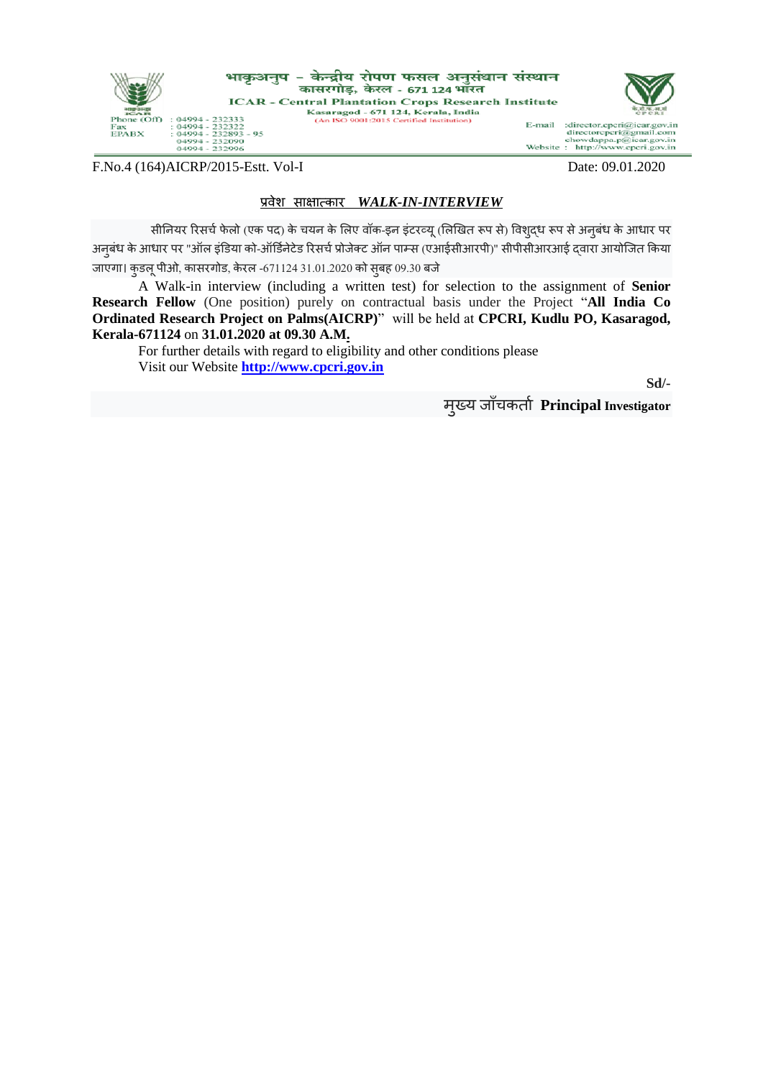

F.No.4 (164) AICRP/2015-Estt. Vol-I Date: 09.01.2020

## प्रवेश साक्षात्कार*WALK-IN-INTERVIEW*

सीनियर रिसर्च फेलो (एक पद) के चयन के लिए वॉक-इन इंटरव्यू (लिखित रूप से) विशुद्ध रूप से अन् बंध के आधार पर अनूबंध के आधार पर "ऑल इंडिया को-ऑर्डिनेटेड रिसर्च प्रोजेक्ट ऑन पाम्स (एआईसीआरपी)" सीपीसीआरआई द्वारा आयोजित किया जाएगा। कुडलू पीओ, कासरगोड, केरल -671124 31.01.2020 को सुबह 09.30 बजे

A Walk-in interview (including a written test) for selection to the assignment of **Senior Research Fellow** (One position) purely on contractual basis under the Project "**All India Co Ordinated Research Project on Palms(AICRP)**" will be held at **CPCRI, Kudlu PO, Kasaragod, Kerala-671124** on **31.01.2020 at 09.30 A.M.**

For further details with regard to eligibility and other conditions please Visit our Website **[http://www.cpcri.gov.in](http://www.cpcri.gov.in/)**

**Sd/-**

मुख्य जााँर्कताच **Principal Investigator**